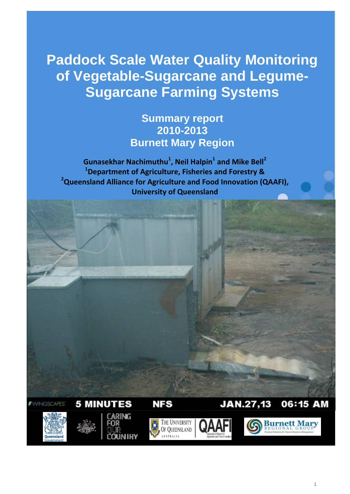**Paddock Scale Water Quality Monitoring of Vegetable-Sugarcane and Legume-Sugarcane Farming Systems**

# **Summary report 2010-2013 Burnett Mary Region**

**Gunasekhar Nachimuthu<sup>1</sup>, Neil Halpin<sup>1</sup> and Mike Bell<sup>2</sup> 1 Department of Agriculture, Fisheries and Forestry & 2 Queensland Alliance for Agriculture and Food Innovation (QAAFI), University of Queensland** 

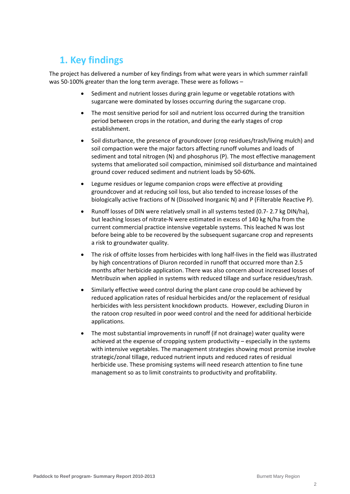# **1. Key findings**

The project has delivered a number of key findings from what were years in which summer rainfall was 50-100% greater than the long term average. These were as follows –

- Sediment and nutrient losses during grain legume or vegetable rotations with sugarcane were dominated by losses occurring during the sugarcane crop.
- The most sensitive period for soil and nutrient loss occurred during the transition period between crops in the rotation, and during the early stages of crop establishment.
- Soil disturbance, the presence of groundcover (crop residues/trash/living mulch) and soil compaction were the major factors affecting runoff volumes and loads of sediment and total nitrogen (N) and phosphorus (P). The most effective management systems that ameliorated soil compaction, minimised soil disturbance and maintained ground cover reduced sediment and nutrient loads by 50‐60%.
- Legume residues or legume companion crops were effective at providing groundcover and at reducing soil loss, but also tended to increase losses of the biologically active fractions of N (Dissolved Inorganic N) and P (Filterable Reactive P).
- Runoff losses of DIN were relatively small in all systems tested (0.7‐ 2.7 kg DIN/ha), but leaching losses of nitrate-N were estimated in excess of 140 kg N/ha from the current commercial practice intensive vegetable systems. This leached N was lost before being able to be recovered by the subsequent sugarcane crop and represents a risk to groundwater quality.
- The risk of offsite losses from herbicides with long half‐lives in the field was illustrated by high concentrations of Diuron recorded in runoff that occurred more than 2.5 months after herbicide application. There was also concern about increased losses of Metribuzin when applied in systems with reduced tillage and surface residues/trash.
- Similarly effective weed control during the plant cane crop could be achieved by reduced application rates of residual herbicides and/or the replacement of residual herbicides with less persistent knockdown products. However, excluding Diuron in the ratoon crop resulted in poor weed control and the need for additional herbicide applications.
- The most substantial improvements in runoff (if not drainage) water quality were achieved at the expense of cropping system productivity – especially in the systems with intensive vegetables. The management strategies showing most promise involve strategic/zonal tillage, reduced nutrient inputs and reduced rates of residual herbicide use. These promising systems will need research attention to fine tune management so as to limit constraints to productivity and profitability.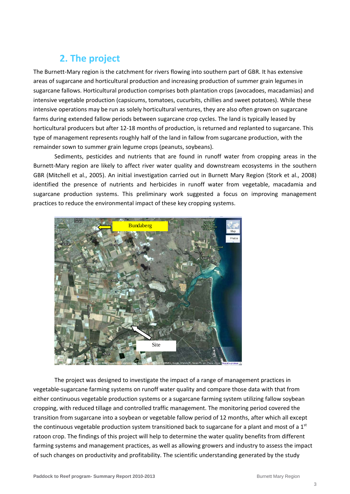# **2. The project**

The Burnett‐Mary region is the catchment for rivers flowing into southern part of GBR. It has extensive areas of sugarcane and horticultural production and increasing production of summer grain legumes in sugarcane fallows. Horticultural production comprises both plantation crops (avocadoes, macadamias) and intensive vegetable production (capsicums, tomatoes, cucurbits, chillies and sweet potatoes). While these intensive operations may be run as solely horticultural ventures, they are also often grown on sugarcane farms during extended fallow periods between sugarcane crop cycles. The land is typically leased by horticultural producers but after 12‐18 months of production, is returned and replanted to sugarcane. This type of management represents roughly half of the land in fallow from sugarcane production, with the remainder sown to summer grain legume crops (peanuts, soybeans).

Sediments, pesticides and nutrients that are found in runoff water from cropping areas in the Burnett‐Mary region are likely to affect river water quality and downstream ecosystems in the southern GBR (Mitchell et al., 2005). An initial investigation carried out in Burnett Mary Region (Stork et al., 2008) identified the presence of nutrients and herbicides in runoff water from vegetable, macadamia and sugarcane production systems. This preliminary work suggested a focus on improving management practices to reduce the environmental impact of these key cropping systems.



The project was designed to investigate the impact of a range of management practices in vegetable‐sugarcane farming systems on runoff water quality and compare those data with that from either continuous vegetable production systems or a sugarcane farming system utilizing fallow soybean cropping, with reduced tillage and controlled traffic management. The monitoring period covered the transition from sugarcane into a soybean or vegetable fallow period of 12 months, after which all except the continuous vegetable production system transitioned back to sugarcane for a plant and most of a  $1<sup>st</sup>$ ratoon crop. The findings of this project will help to determine the water quality benefits from different farming systems and management practices, as well as allowing growers and industry to assess the impact of such changes on productivity and profitability. The scientific understanding generated by the study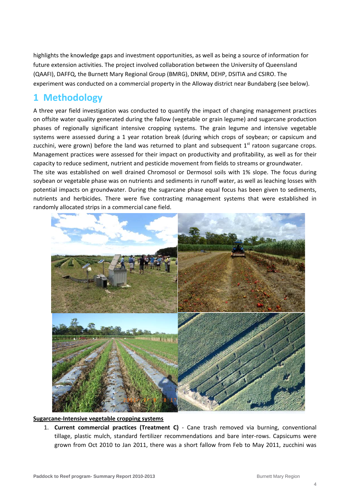highlights the knowledge gaps and investment opportunities, as well as being a source of information for future extension activities. The project involved collaboration between the University of Queensland (QAAFI), DAFFQ, the Burnett Mary Regional Group (BMRG), DNRM, DEHP, DSITIA and CSIRO. The experiment was conducted on a commercial property in the Alloway district near Bundaberg (see below).

# **1 Methodology**

A three year field investigation was conducted to quantify the impact of changing management practices on offsite water quality generated during the fallow (vegetable or grain legume) and sugarcane production phases of regionally significant intensive cropping systems. The grain legume and intensive vegetable systems were assessed during a 1 year rotation break (during which crops of soybean; or capsicum and zucchini, were grown) before the land was returned to plant and subsequent  $1<sup>st</sup>$  ratoon sugarcane crops. Management practices were assessed for their impact on productivity and profitability, as well as for their capacity to reduce sediment, nutrient and pesticide movement from fields to streams or groundwater. The site was established on well drained Chromosol or Dermosol soils with 1% slope. The focus during soybean or vegetable phase was on nutrients and sediments in runoff water, as well as leaching losses with potential impacts on groundwater. During the sugarcane phase equal focus has been given to sediments, nutrients and herbicides. There were five contrasting management systems that were established in randomly allocated strips in a commercial cane field.



### **Sugarcane‐Intensive vegetable cropping systems**

1. **Current commercial practices (Treatment C)** ‐ Cane trash removed via burning, conventional tillage, plastic mulch, standard fertilizer recommendations and bare inter‐rows. Capsicums were grown from Oct 2010 to Jan 2011, there was a short fallow from Feb to May 2011, zucchini was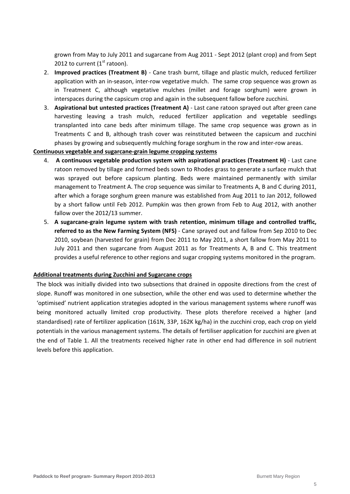grown from May to July 2011 and sugarcane from Aug 2011 ‐ Sept 2012 (plant crop) and from Sept 2012 to current  $(1<sup>st</sup>$  ratoon).

- 2. **Improved practices (Treatment B)** ‐ Cane trash burnt, tillage and plastic mulch, reduced fertilizer application with an in-season, inter-row vegetative mulch. The same crop sequence was grown as in Treatment C, although vegetative mulches (millet and forage sorghum) were grown in interspaces during the capsicum crop and again in the subsequent fallow before zucchini.
- 3. **Aspirational but untested practices (Treatment A)** ‐ Last cane ratoon sprayed out after green cane harvesting leaving a trash mulch, reduced fertilizer application and vegetable seedlings transplanted into cane beds after minimum tillage. The same crop sequence was grown as in Treatments C and B, although trash cover was reinstituted between the capsicum and zucchini phases by growing and subsequently mulching forage sorghum in the row and inter‐row areas.

### **Continuous vegetable and sugarcane‐grain legume cropping systems**

- 4. **A continuous vegetable production system with aspirational practices (Treatment H)** ‐ Last cane ratoon removed by tillage and formed beds sown to Rhodes grass to generate a surface mulch that was sprayed out before capsicum planting. Beds were maintained permanently with similar management to Treatment A. The crop sequence was similar to Treatments A, B and C during 2011, after which a forage sorghum green manure was established from Aug 2011 to Jan 2012, followed by a short fallow until Feb 2012. Pumpkin was then grown from Feb to Aug 2012, with another fallow over the 2012/13 summer.
- 5. **A sugarcane‐grain legume system with trash retention, minimum tillage and controlled traffic, referred to as the New Farming System (NFS)** ‐ Cane sprayed out and fallow from Sep 2010 to Dec 2010, soybean (harvested for grain) from Dec 2011 to May 2011, a short fallow from May 2011 to July 2011 and then sugarcane from August 2011 as for Treatments A, B and C. This treatment provides a useful reference to other regions and sugar cropping systems monitored in the program.

### **Additional treatments during Zucchini and Sugarcane crops**

The block was initially divided into two subsections that drained in opposite directions from the crest of slope. Runoff was monitored in one subsection, while the other end was used to determine whether the 'optimised' nutrient application strategies adopted in the various management systems where runoff was being monitored actually limited crop productivity. These plots therefore received a higher (and standardised) rate of fertilizer application (161N, 33P, 162K kg/ha) in the zucchini crop, each crop on yield potentials in the various management systems. The details of fertiliser application for zucchini are given at the end of Table 1. All the treatments received higher rate in other end had difference in soil nutrient levels before this application.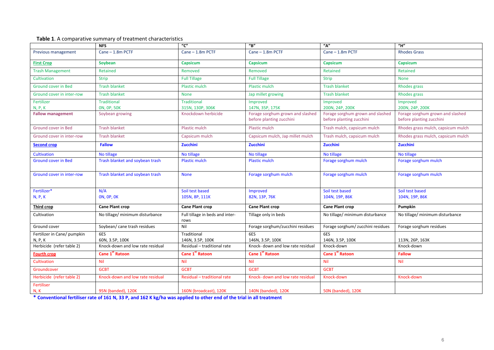|                                            | <b>NFS</b>                            | "C"                                     | $^{\prime\prime}$ B"              | $n_{\mathbf{A}''}$                | $^{\prime\prime}$ H"               |  |  |
|--------------------------------------------|---------------------------------------|-----------------------------------------|-----------------------------------|-----------------------------------|------------------------------------|--|--|
| Previous management                        | Cane - 1.8m PCTF                      | Cane - 1.8m PCTF                        | Cane - 1.8m PCTF                  | Cane - 1.8m PCTF                  | <b>Rhodes Grass</b>                |  |  |
| <b>First Crop</b>                          | Soybean                               | Capsicum                                | <b>Capsicum</b>                   | <b>Capsicum</b>                   | Capsicum                           |  |  |
| <b>Trash Management</b>                    | Retained                              | Removed                                 | Removed                           | Retained                          | Retained                           |  |  |
| Cultivation                                | <b>Strip</b>                          | <b>Full Tillage</b>                     | <b>Full Tillage</b>               | <b>Strip</b>                      | <b>None</b>                        |  |  |
| Ground cover in Bed                        | <b>Trash blanket</b>                  | Plastic mulch                           | Plastic mulch                     | <b>Trash blanket</b>              | <b>Rhodes grass</b>                |  |  |
| Ground cover in inter-row                  | <b>Trash blanket</b>                  | <b>None</b>                             | Jap millet growing                | Trash blanket                     | <b>Rhodes grass</b>                |  |  |
| Fertilizer                                 | <b>Traditional</b>                    | <b>Traditional</b><br>315N, 130P, 306K  | Improved<br>147N, 35P, 175K       | Improved<br>200N, 24P, 200K       | Improved<br>200N, 24P, 200K        |  |  |
| <b>N, P, K</b><br><b>Fallow management</b> | <b>ON, OP, 50K</b><br>Soybean growing | Knockdown herbicide                     | Forage sorghum grown and slashed  | Forage sorghum grown and slashed  | Forage sorghum grown and slashed   |  |  |
|                                            |                                       |                                         | before planting zucchini          | before planting zucchini          | before planting zucchini           |  |  |
| Ground cover in Bed                        | <b>Trash blanket</b>                  | Plastic mulch                           | Plastic mulch                     | Trash mulch, capsicum mulch       | Rhodes grass mulch, capsicum mulch |  |  |
| Ground cover in inter-row                  | <b>Trash blanket</b>                  | Capsicum mulch                          | Capsicum mulch, Jap millet mulch  | Trash mulch, capsicum mulch       | Rhodes grass mulch, capsicum mulch |  |  |
| <b>Second crop</b>                         | <b>Fallow</b>                         | Zucchini                                | Zucchini                          | Zucchini                          | Zucchini                           |  |  |
| <b>Cultivation</b>                         | No tillage                            | No tillage                              | No tillage                        | No tillage                        | No tillage                         |  |  |
| <b>Ground cover in Bed</b>                 | Trash blanket and soybean trash       | <b>Plastic mulch</b>                    | Plastic mulch                     | Forage sorghum mulch              | Forage sorghum mulch               |  |  |
| Ground cover in inter-row                  | Trash blanket and soybean trash       | <b>None</b>                             | Forage sorghum mulch              | Forage sorghum mulch              | Forage sorghum mulch               |  |  |
| Fertilizer*                                | N/A                                   | Soil test based                         | Improved                          | Soil test based                   | Soil test based                    |  |  |
| N, P, K                                    | <b>ON, OP, OK</b>                     | 105N, 8P, 111K                          | 82N, 13P, 76K                     | 104N, 19P, 86K                    | 104N, 19P, 86K                     |  |  |
| <b>Third crop</b>                          | <b>Cane Plant crop</b>                | <b>Cane Plant crop</b>                  | <b>Cane Plant crop</b>            | <b>Cane Plant crop</b>            | Pumpkin                            |  |  |
|                                            |                                       |                                         |                                   |                                   |                                    |  |  |
| Cultivation                                | No tillage/ minimum disturbance       | Full tillage in beds and inter-<br>rows | Tillage only in beds              | No tillage/ minimum disturbance   | No tillage/ minimum disturbance    |  |  |
| Ground cover                               | Soybean/ cane trash residues          | Nil                                     | Forage sorghum/zucchini residues  | Forage sorghum/ zucchini residues | Forage sorghum residues            |  |  |
| Fertilizer in Cane/ pumpkin                | 6ES                                   | Traditional                             | 6ES                               | 6ES                               |                                    |  |  |
| N, P, K                                    | 60N, 3.5P, 100K                       | 146N, 3.5P, 100K                        | 146N, 3.5P, 100K                  | 146N, 3.5P, 100K                  | 113N, 26P, 163K                    |  |  |
| Herbicide (refer table 2)                  | Knock-down and low rate residual      | Residual - traditional rate             | Knock- down and low rate residual | Knock-down                        | Knock-down                         |  |  |
| <b>Fourth crop</b>                         | Cane 1st Ratoon                       | <b>Cane 1st Ratoon</b>                  | Cane 1st Ratoon                   | Cane 1st Ratoon                   | <b>Fallow</b>                      |  |  |
| Cultivation                                | Nil                                   | <b>Nil</b>                              | Nil                               | <b>Nil</b>                        | Nil                                |  |  |
| Groundcover                                | <b>GCBT</b>                           | <b>GCBT</b>                             | <b>GCBT</b>                       | <b>GCBT</b>                       |                                    |  |  |
| Herbicide (refer table 2)                  | Knock-down and low rate residual      | Residual - traditional rate             | Knock- down and low rate residual | Knock-down                        | Knock-down                         |  |  |
| Fertiliser<br>N, K                         | 95N (banded), 120K                    | 160N (broadcast), 120K                  | 140N (banded), 120K               | 50N (banded), 120K                |                                    |  |  |

\* Conventional fertiliser rate of 161 N, 33 P, and 162 K kg/ha was applied to other end of the trial in all treatment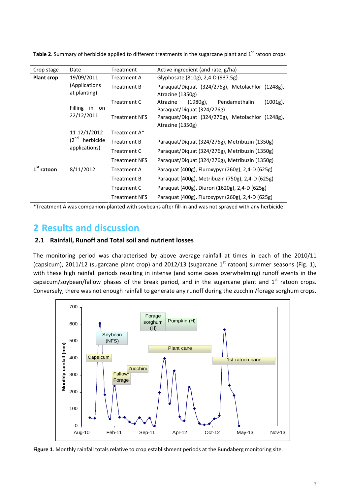| Crop stage        | Date                                                    | Treatment            | Active ingredient (and rate, g/ha)                                                    |  |  |  |  |
|-------------------|---------------------------------------------------------|----------------------|---------------------------------------------------------------------------------------|--|--|--|--|
| <b>Plant crop</b> | 19/09/2011                                              | <b>Treatment A</b>   | Glyphosate (810g), 2,4-D (937.5g)                                                     |  |  |  |  |
|                   | (Applications<br>at planting)                           | Treatment B          | Paraquat/Diquat (324/276g), Metolachlor (1248g),<br>Atrazine (1350g)                  |  |  |  |  |
|                   | Filling in<br>on<br>22/12/2011                          | Treatment C          | $(1001g)$ ,<br>$(1980g)$ ,<br>Pendamethalin<br>Atrazine<br>Paraquat/Diquat (324/276g) |  |  |  |  |
|                   |                                                         | <b>Treatment NFS</b> | Paraquat/Diquat (324/276g), Metolachlor (1248g),<br>Atrazine (1350g)                  |  |  |  |  |
|                   | 11-12/1/2012<br>$(2^{nd}$<br>herbicide<br>applications) | Treatment A*         |                                                                                       |  |  |  |  |
|                   |                                                         | <b>Treatment B</b>   | Paraquat/Diquat (324/276g), Metribuzin (1350g)                                        |  |  |  |  |
|                   |                                                         | Treatment C          | Paraquat/Diquat (324/276g), Metribuzin (1350g)                                        |  |  |  |  |
|                   |                                                         | <b>Treatment NFS</b> | Paraquat/Diquat (324/276g), Metribuzin (1350g)                                        |  |  |  |  |
| $1st$ ratoon      | 8/11/2012                                               | <b>Treatment A</b>   | Paraquat (400g), Fluroxypyr (260g), 2,4-D (625g)                                      |  |  |  |  |
|                   |                                                         | Treatment B          | Paraquat (400g), Metribuzin (750g), 2,4-D (625g)                                      |  |  |  |  |
|                   |                                                         | Treatment C          | Paraquat (400g), Diuron (1620g), 2,4-D (625g)                                         |  |  |  |  |
|                   |                                                         | <b>Treatment NFS</b> | Paraquat (400g), Fluroxypyr (260g), 2,4-D (625g)                                      |  |  |  |  |

**Table 2.** Summary of herbicide applied to different treatments in the sugarcane plant and 1<sup>st</sup> ratoon crops

\*Treatment A was companion‐planted with soybeans after fill‐in and was not sprayed with any herbicide

# **2 Results and discussion**

### **2.1 Rainfall, Runoff and Total soil and nutrient losses**

The monitoring period was characterised by above average rainfall at times in each of the 2010/11 (capsicum), 2011/12 (sugarcane plant crop) and 2012/13 (sugarcane  $1<sup>st</sup>$  ratoon) summer seasons (Fig. 1), with these high rainfall periods resulting in intense (and some cases overwhelming) runoff events in the capsicum/soybean/fallow phases of the break period, and in the sugarcane plant and  $1<sup>st</sup>$  ratoon crops. Conversely, there was not enough rainfall to generate any runoff during the zucchini/forage sorghum crops.



**Figure 1**. Monthly rainfall totals relative to crop establishment periods at the Bundaberg monitoring site.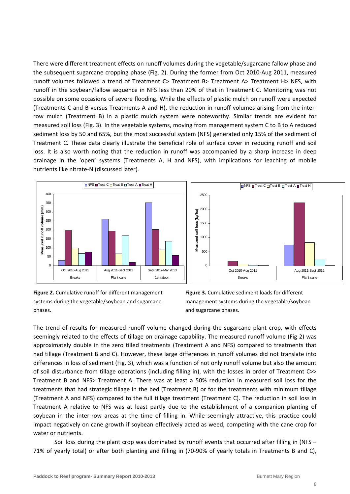There were different treatment effects on runoff volumes during the vegetable/sugarcane fallow phase and the subsequent sugarcane cropping phase (Fig. 2). During the former from Oct 2010‐Aug 2011, measured runoff volumes followed a trend of Treatment C> Treatment B> Treatment A> Treatment H> NFS, with runoff in the soybean/fallow sequence in NFS less than 20% of that in Treatment C. Monitoring was not possible on some occasions of severe flooding. While the effects of plastic mulch on runoff were expected (Treatments C and B versus Treatments A and H), the reduction in runoff volumes arising from the inter‐ row mulch (Treatment B) in a plastic mulch system were noteworthy. Similar trends are evident for measured soil loss (Fig. 3). In the vegetable systems, moving from management system C to B to A reduced sediment loss by 50 and 65%, but the most successful system (NFS) generated only 15% of the sediment of Treatment C. These data clearly illustrate the beneficial role of surface cover in reducing runoff and soil loss. It is also worth noting that the reduction in runoff was accompanied by a sharp increase in deep drainage in the 'open' systems (Treatments A, H and NFS), with implications for leaching of mobile nutrients like nitrate‐N (discussed later).





**Figure 2.** Cumulative runoff for different management systems during the vegetable/soybean and sugarcane phases.

**Figure 3.** Cumulative sediment loads for different management systems during the vegetable/soybean and sugarcane phases.

The trend of results for measured runoff volume changed during the sugarcane plant crop, with effects seemingly related to the effects of tillage on drainage capability. The measured runoff volume (Fig 2) was approximately double in the zero tilled treatments (Treatment A and NFS) compared to treatments that had tillage (Treatment B and C). However, these large differences in runoff volumes did not translate into differences in loss of sediment (Fig. 3), which was a function of not only runoff volume but also the amount of soil disturbance from tillage operations (including filling in), with the losses in order of Treatment C>> Treatment B and NFS> Treatment A. There was at least a 50% reduction in measured soil loss for the treatments that had strategic tillage in the bed (Treatment B) or for the treatments with minimum tillage (Treatment A and NFS) compared to the full tillage treatment (Treatment C). The reduction in soil loss in Treatment A relative to NFS was at least partly due to the establishment of a companion planting of soybean in the inter-row areas at the time of filling in. While seemingly attractive, this practice could impact negatively on cane growth if soybean effectively acted as weed, competing with the cane crop for water or nutrients.

Soil loss during the plant crop was dominated by runoff events that occurred after filling in (NFS – 71% of yearly total) or after both planting and filling in (70‐90% of yearly totals in Treatments B and C),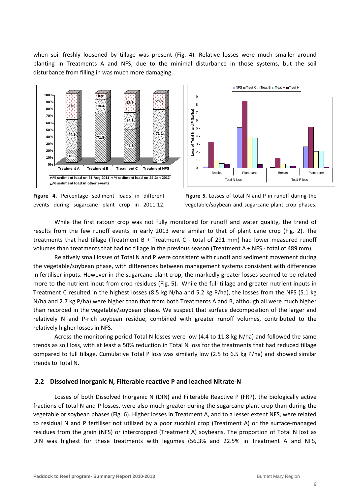when soil freshly loosened by tillage was present (Fig. 4). Relative losses were much smaller around planting in Treatments A and NFS, due to the minimal disturbance in those systems, but the soil disturbance from filling in was much more damaging.





**Figure 4.** Percentage sediment loads in different events during sugarcane plant crop in 2011‐12.

**Figure 5.** Losses of total N and P in runoff during the vegetable/soybean and sugarcane plant crop phases.

While the first ratoon crop was not fully monitored for runoff and water quality, the trend of results from the few runoff events in early 2013 were similar to that of plant cane crop (Fig. 2). The treatments that had tillage (Treatment B + Treatment C - total of 291 mm) had lower measured runoff volumes than treatments that had no tillage in the previous season (Treatment A + NFS ‐ total of 489 mm).

Relatively small losses of Total N and P were consistent with runoff and sediment movement during the vegetable/soybean phase, with differences between management systems consistent with differences in fertiliser inputs. However in the sugarcane plant crop, the markedly greater losses seemed to be related more to the nutrient input from crop residues (Fig. 5). While the full tillage and greater nutrient inputs in Treatment C resulted in the highest losses (8.5 kg N/ha and 5.2 kg P/ha), the losses from the NFS (5.1 kg N/ha and 2.7 kg P/ha) were higher than that from both Treatments A and B, although all were much higher than recorded in the vegetable/soybean phase. We suspect that surface decomposition of the larger and relatively N and P‐rich soybean residue, combined with greater runoff volumes, contributed to the relatively higher losses in NFS.

Across the monitoring period Total N losses were low (4.4 to 11.8 kg N/ha) and followed the same trends as soil loss, with at least a 50% reduction in Total N loss for the treatments that had reduced tillage compared to full tillage. Cumulative Total P loss was similarly low (2.5 to 6.5 kg P/ha) and showed similar trends to Total N.

### **2.2 Dissolved Inorganic N, Filterable reactive P and leached Nitrate‐N**

Losses of both Dissolved Inorganic N (DIN) and Filterable Reactive P (FRP), the biologically active fractions of total N and P losses, were also much greater during the sugarcane plant crop than during the vegetable or soybean phases (Fig. 6). Higher losses in Treatment A, and to a lesser extent NFS, were related to residual N and P fertiliser not utilized by a poor zucchini crop (Treatment A) or the surface-managed residues from the grain (NFS) or intercropped (Treatment A) soybeans. The proportion of Total N lost as DIN was highest for these treatments with legumes (56.3% and 22.5% in Treatment A and NFS,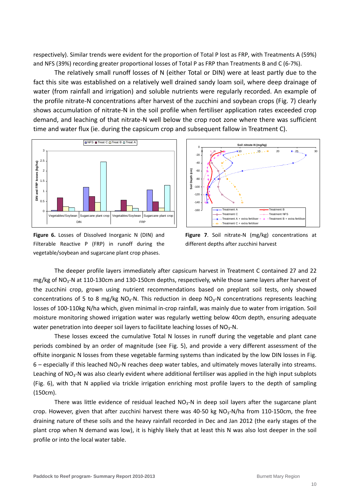respectively). Similar trends were evident for the proportion of Total P lost as FRP, with Treatments A (59%) and NFS (39%) recording greater proportional losses of Total P as FRP than Treatments B and C (6‐7%).

The relatively small runoff losses of N (either Total or DIN) were at least partly due to the fact this site was established on a relatively well drained sandy loam soil, where deep drainage of water (from rainfall and irrigation) and soluble nutrients were regularly recorded. An example of the profile nitrate‐N concentrations after harvest of the zucchini and soybean crops (Fig. 7) clearly shows accumulation of nitrate‐N in the soil profile when fertiliser application rates exceeded crop demand, and leaching of that nitrate‐N well below the crop root zone where there was sufficient time and water flux (ie. during the capsicum crop and subsequent fallow in Treatment C).



**Figure 6.** Losses of Dissolved Inorganic N (DIN) and Filterable Reactive P (FRP) in runoff during the vegetable/soybean and sugarcane plant crop phases.



**Figure 7**. Soil nitrate‐N (mg/kg) concentrations at different depths after zucchini harvest

The deeper profile layers immediately after capsicum harvest in Treatment C contained 27 and 22 mg/kg of NO<sub>3</sub>-N at 110-130cm and 130-150cm depths, respectively, while those same layers after harvest of the zucchini crop, grown using nutrient recommendations based on preplant soil tests, only showed concentrations of 5 to 8 mg/kg NO<sub>3</sub>-N. This reduction in deep NO<sub>3</sub>-N concentrations represents leaching losses of 100‐110kg N/ha which, given minimal in‐crop rainfall, was mainly due to water from irrigation. Soil moisture monitoring showed irrigation water was regularly wetting below 40cm depth, ensuring adequate water penetration into deeper soil layers to facilitate leaching losses of  $NO<sub>3</sub>$ -N.

These losses exceed the cumulative Total N losses in runoff during the vegetable and plant cane periods combined by an order of magnitude (see Fig. 5), and provide a very different assessment of the offsite inorganic N losses from these vegetable farming systems than indicated by the low DIN losses in Fig.  $6$  – especially if this leached NO<sub>3</sub>-N reaches deep water tables, and ultimately moves laterally into streams. Leaching of NO<sub>3</sub>-N was also clearly evident where additional fertiliser was applied in the high input subplots (Fig. 6), with that N applied via trickle irrigation enriching most profile layers to the depth of sampling (150cm).

There was little evidence of residual leached  $NO<sub>3</sub>$ -N in deep soil layers after the sugarcane plant crop. However, given that after zucchini harvest there was 40-50 kg  $NO<sub>3</sub>$ -N/ha from 110-150cm, the free draining nature of these soils and the heavy rainfall recorded in Dec and Jan 2012 (the early stages of the plant crop when N demand was low), it is highly likely that at least this N was also lost deeper in the soil profile or into the local water table.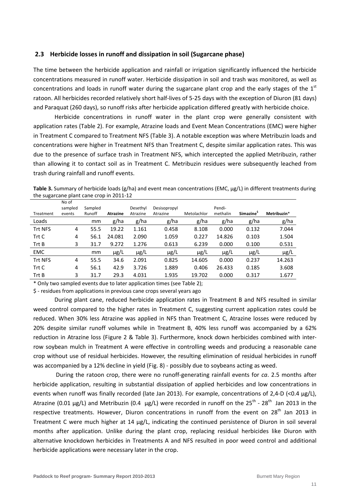### **2.3 Herbicide losses in runoff and dissipation in soil (Sugarcane phase)**

The time between the herbicide application and rainfall or irrigation significantly influenced the herbicide concentrations measured in runoff water. Herbicide dissipation in soil and trash was monitored, as well as concentrations and loads in runoff water during the sugarcane plant crop and the early stages of the  $1<sup>st</sup>$ ratoon. All herbicides recorded relatively short half‐lives of 5‐25 days with the exception of Diuron (81 days) and Paraquat (260 days), so runoff risks after herbicide application differed greatly with herbicide choice.

Herbicide concentrations in runoff water in the plant crop were generally consistent with application rates (Table 2). For example, Atrazine loads and Event Mean Concentrations (EMC) were higher in Treatment C compared to Treatment NFS (Table 3). A notable exception was where Metribuzin loads and concentrations were higher in Treatment NFS than Treatment C, despite similar application rates. This was due to the presence of surface trash in Treatment NFS, which intercepted the applied Metribuzin, rather than allowing it to contact soil as in Treatment C. Metribuzin residues were subsequently leached from trash during rainfall and runoff events.

**Table 3.** Summary of herbicide loads (g/ha) and event mean concentrations (EMC, µg/L) in different treatments during the sugarcane plant cane crop in 2011‐12

|                | No of<br>sampled | Sampled |                 | Desethyl  | Desisopropyl |             | Pendi-    |                       |             |
|----------------|------------------|---------|-----------------|-----------|--------------|-------------|-----------|-----------------------|-------------|
| Treatment      | events           | Runoff  | <b>Atrazine</b> | Atrazine  | Atrazine     | Metolachlor | methalin  | Simazine <sup>3</sup> | Metribuzin* |
| Loads          |                  | mm      | g/ha            | g/ha      | g/ha         | g/ha        | g/ha      | g/ha                  | g/ha        |
| <b>Trt NFS</b> | 4                | 55.5    | 19.22           | 1.161     | 0.458        | 8.108       | 0.000     | 0.132                 | 7.044       |
| Trt C          | 4                | 56.1    | 24.081          | 2.090     | 1.059        | 0.227       | 14.826    | 0.103                 | 1.504       |
| Trt B          | 3                | 31.7    | 9.272           | 1.276     | 0.613        | 6.239       | 0.000     | 0.100                 | 0.531       |
| <b>EMC</b>     |                  | mm      | $\mu$ g/L       | $\mu$ g/L | $\mu$ g/L    | $\mu$ g/L   | $\mu$ g/L | $\mu$ g/L             | $\mu$ g/L   |
| <b>Trt NFS</b> | 4                | 55.5    | 34.6            | 2.091     | 0.825        | 14.605      | 0.000     | 0.237                 | 14.263      |
| Trt C          | 4                | 56.1    | 42.9            | 3.726     | 1.889        | 0.406       | 26.433    | 0.185                 | 3.608       |
| Trt B          | 3                | 31.7    | 29.3            | 4.031     | 1.935        | 19.702      | 0.000     | 0.317                 | 1.677       |

\* Only two sampled events due to later application times (see Table 2);

\$ ‐ residues from applications in previous cane crops several years ago

During plant cane, reduced herbicide application rates in Treatment B and NFS resulted in similar weed control compared to the higher rates in Treatment C, suggesting current application rates could be reduced. When 30% less Atrazine was applied in NFS than Treatment C, Atrazine losses were reduced by 20% despite similar runoff volumes while in Treatment B, 40% less runoff was accompanied by a 62% reduction in Atrazine loss (Figure 2 & Table 3). Furthermore, knock down herbicides combined with inter‐ row soybean mulch in Treatment A were effective in controlling weeds and producing a reasonable cane crop without use of residual herbicides. However, the resulting elimination of residual herbicides in runoff was accompanied by a 12% decline in yield (Fig. 8) - possibly due to soybeans acting as weed.

During the ratoon crop, there were no runoff‐generating rainfall events for *ca*. 2.5 months after herbicide application, resulting in substantial dissipation of applied herbicides and low concentrations in events when runoff was finally recorded (late Jan 2013). For example, concentrations of 2,4-D (<0.4 µg/L), Atrazine (0.01  $\mu$ g/L) and Metribuzin (0.4  $\mu$ g/L) were recorded in runoff on the 25<sup>th</sup> - 28<sup>th</sup> Jan 2013 in the respective treatments. However, Diuron concentrations in runoff from the event on  $28<sup>th</sup>$  Jan 2013 in Treatment C were much higher at 14 µg/L, indicating the continued persistence of Diuron in soil several months after application. Unlike during the plant crop, replacing residual herbicides like Diuron with alternative knockdown herbicides in Treatments A and NFS resulted in poor weed control and additional herbicide applications were necessary later in the crop.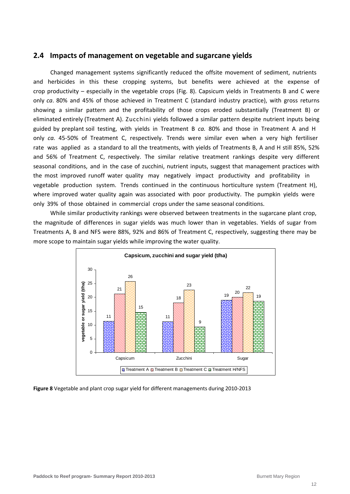### **2.4 Impacts of management on vegetable and sugarcane yields**

Changed management systems significantly reduced the offsite movement of sediment, nutrients and herbicides in this these cropping systems, but benefits were achieved at the expense of crop productivity – especially in the vegetable crops (Fig. 8). Capsicum yields in Treatments B and C were only *ca*. 80% and 45% of those achieved in Treatment C (standard industry practice), with gross returns showing a similar pattern and the profitability of those crops eroded substantially (Treatment B) or eliminated entirely (Treatment A). Zucchini yields followed a similar pattern despite nutrient inputs being guided by preplant soil testing, with yields in Treatment B *ca.* 80% and those in Treatment A and H only *ca.* 45‐50% of Treatment C, respectively. Trends were similar even when a very high fertiliser rate was applied as a standard to all the treatments, with yields of Treatments B, A and H still 85%, 52% and 56% of Treatment C, respectively. The similar relative treatment rankings despite very different seasonal conditions, and in the case of zucchini, nutrient inputs, suggest that management practices with the most improved runoff water quality may negatively impact productivity and profitability in vegetable production system. Trends continued in the continuous horticulture system (Treatment H), where improved water quality again was associated with poor productivity. The pumpkin yields were only 39% of those obtained in commercial crops under the same seasonal conditions.

While similar productivity rankings were observed between treatments in the sugarcane plant crop, the magnitude of differences in sugar yields was much lower than in vegetables. Yields of sugar from Treatments A, B and NFS were 88%, 92% and 86% of Treatment C, respectively, suggesting there may be more scope to maintain sugar yields while improving the water quality.



**Figure 8** Vegetable and plant crop sugar yield for different managements during 2010‐2013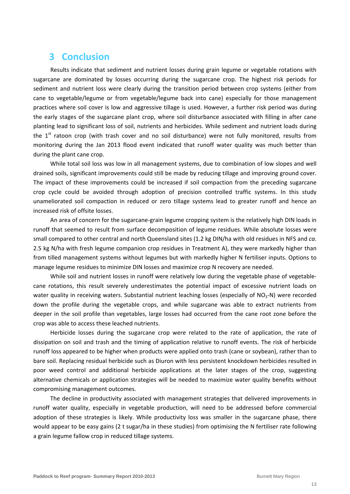## **3 Conclusion**

Results indicate that sediment and nutrient losses during grain legume or vegetable rotations with sugarcane are dominated by losses occurring during the sugarcane crop. The highest risk periods for sediment and nutrient loss were clearly during the transition period between crop systems (either from cane to vegetable/legume or from vegetable/legume back into cane) especially for those management practices where soil cover is low and aggressive tillage is used. However, a further risk period was during the early stages of the sugarcane plant crop, where soil disturbance associated with filling in after cane planting lead to significant loss of soil, nutrients and herbicides. While sediment and nutrient loads during the 1<sup>st</sup> ratoon crop (with trash cover and no soil disturbance) were not fully monitored, results from monitoring during the Jan 2013 flood event indicated that runoff water quality was much better than during the plant cane crop.

While total soil loss was low in all management systems, due to combination of low slopes and well drained soils, significant improvements could still be made by reducing tillage and improving ground cover. The impact of these improvements could be increased if soil compaction from the preceding sugarcane crop cycle could be avoided through adoption of precision controlled traffic systems. In this study unameliorated soil compaction in reduced or zero tillage systems lead to greater runoff and hence an increased risk of offsite losses.

An area of concern for the sugarcane‐grain legume cropping system is the relatively high DIN loads in runoff that seemed to result from surface decomposition of legume residues. While absolute losses were small compared to other central and north Queensland sites (1.2 kg DIN/ha with old residues in NFS and *ca*. 2.5 kg N/ha with fresh legume companion crop residues in Treatment A), they were markedly higher than from tilled management systems without legumes but with markedly higher N fertiliser inputs. Options to manage legume residues to minimize DIN losses and maximize crop N recovery are needed.

While soil and nutrient losses in runoff were relatively low during the vegetable phase of vegetablecane rotations, this result severely underestimates the potential impact of excessive nutrient loads on water quality in receiving waters. Substantial nutrient leaching losses (especially of  $NO<sub>3</sub>$ -N) were recorded down the profile during the vegetable crops, and while sugarcane was able to extract nutrients from deeper in the soil profile than vegetables, large losses had occurred from the cane root zone before the crop was able to access these leached nutrients.

Herbicide losses during the sugarcane crop were related to the rate of application, the rate of dissipation on soil and trash and the timing of application relative to runoff events. The risk of herbicide runoff loss appeared to be higher when products were applied onto trash (cane or soybean), rather than to bare soil. Replacing residual herbicide such as Diuron with less persistent knockdown herbicides resulted in poor weed control and additional herbicide applications at the later stages of the crop, suggesting alternative chemicals or application strategies will be needed to maximize water quality benefits without compromising management outcomes.

The decline in productivity associated with management strategies that delivered improvements in runoff water quality, especially in vegetable production, will need to be addressed before commercial adoption of these strategies is likely. While productivity loss was smaller in the sugarcane phase, there would appear to be easy gains (2 t sugar/ha in these studies) from optimising the N fertiliser rate following a grain legume fallow crop in reduced tillage systems.